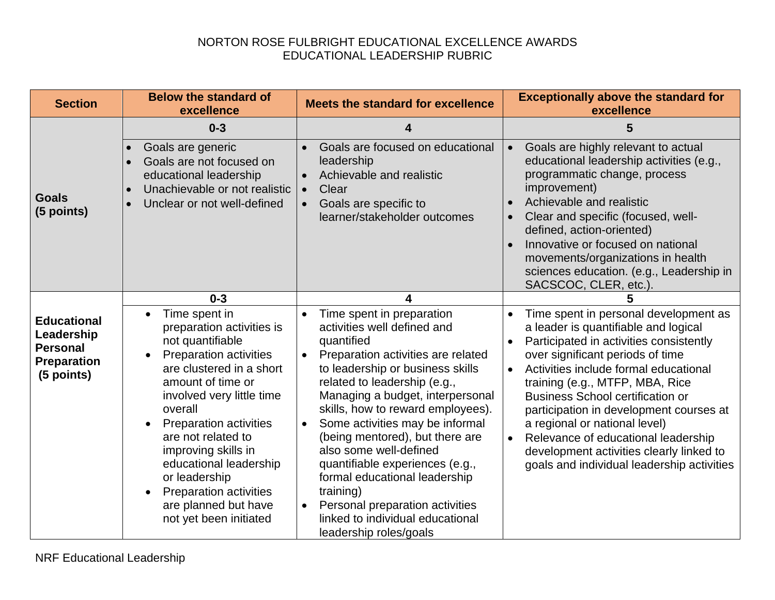## NORTON ROSE FULBRIGHT EDUCATIONAL EXCELLENCE AWARDS EDUCATIONAL LEADERSHIP RUBRIC

| <b>Section</b>                                                                          | <b>Below the standard of</b><br>excellence                                                                                                                                                                                                                                                                                                                                                                                                  | <b>Meets the standard for excellence</b>                                                                                                                                                                                                                                                                                                                                                                                                                                                                                                                                                        | <b>Exceptionally above the standard for</b><br>excellence                                                                                                                                                                                                                                                                                                                                                                                                                                                                               |
|-----------------------------------------------------------------------------------------|---------------------------------------------------------------------------------------------------------------------------------------------------------------------------------------------------------------------------------------------------------------------------------------------------------------------------------------------------------------------------------------------------------------------------------------------|-------------------------------------------------------------------------------------------------------------------------------------------------------------------------------------------------------------------------------------------------------------------------------------------------------------------------------------------------------------------------------------------------------------------------------------------------------------------------------------------------------------------------------------------------------------------------------------------------|-----------------------------------------------------------------------------------------------------------------------------------------------------------------------------------------------------------------------------------------------------------------------------------------------------------------------------------------------------------------------------------------------------------------------------------------------------------------------------------------------------------------------------------------|
|                                                                                         | $0 - 3$                                                                                                                                                                                                                                                                                                                                                                                                                                     |                                                                                                                                                                                                                                                                                                                                                                                                                                                                                                                                                                                                 | 5                                                                                                                                                                                                                                                                                                                                                                                                                                                                                                                                       |
| <b>Goals</b><br>(5 points)                                                              | Goals are generic<br>Goals are not focused on<br>$\bullet$<br>educational leadership<br>Unachievable or not realistic<br>$\bullet$<br>Unclear or not well-defined<br>$\bullet$                                                                                                                                                                                                                                                              | Goals are focused on educational<br>leadership<br>Achievable and realistic<br>Clear<br>$\bullet$<br>Goals are specific to<br>learner/stakeholder outcomes                                                                                                                                                                                                                                                                                                                                                                                                                                       | Goals are highly relevant to actual<br>$\bullet$<br>educational leadership activities (e.g.,<br>programmatic change, process<br>improvement)<br>Achievable and realistic<br>$\bullet$<br>Clear and specific (focused, well-<br>$\bullet$<br>defined, action-oriented)<br>Innovative or focused on national<br>$\bullet$<br>movements/organizations in health<br>sciences education. (e.g., Leadership in<br>SACSCOC, CLER, etc.).                                                                                                       |
|                                                                                         | $0 - 3$                                                                                                                                                                                                                                                                                                                                                                                                                                     |                                                                                                                                                                                                                                                                                                                                                                                                                                                                                                                                                                                                 |                                                                                                                                                                                                                                                                                                                                                                                                                                                                                                                                         |
| <b>Educational</b><br>Leadership<br><b>Personal</b><br><b>Preparation</b><br>(5 points) | Time spent in<br>$\bullet$<br>preparation activities is<br>not quantifiable<br><b>Preparation activities</b><br>$\bullet$<br>are clustered in a short<br>amount of time or<br>involved very little time<br>overall<br><b>Preparation activities</b><br>are not related to<br>improving skills in<br>educational leadership<br>or leadership<br><b>Preparation activities</b><br>$\bullet$<br>are planned but have<br>not yet been initiated | Time spent in preparation<br>$\bullet$<br>activities well defined and<br>quantified<br>Preparation activities are related<br>$\bullet$<br>to leadership or business skills<br>related to leadership (e.g.,<br>Managing a budget, interpersonal<br>skills, how to reward employees).<br>Some activities may be informal<br>$\bullet$<br>(being mentored), but there are<br>also some well-defined<br>quantifiable experiences (e.g.,<br>formal educational leadership<br>training)<br>Personal preparation activities<br>$\bullet$<br>linked to individual educational<br>leadership roles/goals | Time spent in personal development as<br>a leader is quantifiable and logical<br>Participated in activities consistently<br>$\bullet$<br>over significant periods of time<br>Activities include formal educational<br>$\bullet$<br>training (e.g., MTFP, MBA, Rice<br><b>Business School certification or</b><br>participation in development courses at<br>a regional or national level)<br>Relevance of educational leadership<br>$\bullet$<br>development activities clearly linked to<br>goals and individual leadership activities |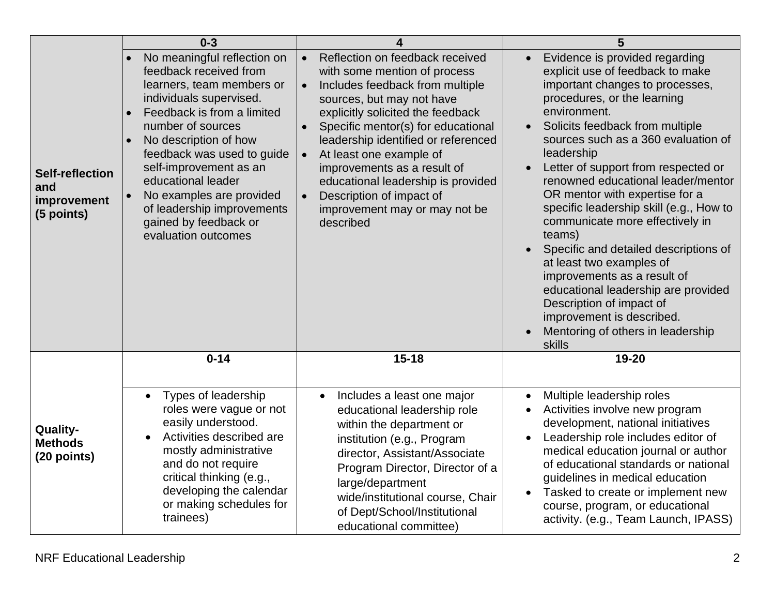|                                                            | $0 - 3$                                                                                                                                                                                                                                                                                                                                                                           |                                                                                                                                                                                                                                                                                                                                                                                                                                                                    | 5                                                                                                                                                                                                                                                                                                                                                                                                                                                                                                                                                                                                                                                                                                                                |
|------------------------------------------------------------|-----------------------------------------------------------------------------------------------------------------------------------------------------------------------------------------------------------------------------------------------------------------------------------------------------------------------------------------------------------------------------------|--------------------------------------------------------------------------------------------------------------------------------------------------------------------------------------------------------------------------------------------------------------------------------------------------------------------------------------------------------------------------------------------------------------------------------------------------------------------|----------------------------------------------------------------------------------------------------------------------------------------------------------------------------------------------------------------------------------------------------------------------------------------------------------------------------------------------------------------------------------------------------------------------------------------------------------------------------------------------------------------------------------------------------------------------------------------------------------------------------------------------------------------------------------------------------------------------------------|
| <b>Self-reflection</b><br>and<br>improvement<br>(5 points) | No meaningful reflection on<br>feedback received from<br>learners, team members or<br>individuals supervised.<br>Feedback is from a limited<br>number of sources<br>No description of how<br>feedback was used to guide<br>self-improvement as an<br>educational leader<br>No examples are provided<br>of leadership improvements<br>gained by feedback or<br>evaluation outcomes | Reflection on feedback received<br>$\bullet$<br>with some mention of process<br>Includes feedback from multiple<br>$\bullet$<br>sources, but may not have<br>explicitly solicited the feedback<br>Specific mentor(s) for educational<br>leadership identified or referenced<br>At least one example of<br>improvements as a result of<br>educational leadership is provided<br>Description of impact of<br>$\bullet$<br>improvement may or may not be<br>described | Evidence is provided regarding<br>explicit use of feedback to make<br>important changes to processes,<br>procedures, or the learning<br>environment.<br>Solicits feedback from multiple<br>$\bullet$<br>sources such as a 360 evaluation of<br>leadership<br>Letter of support from respected or<br>renowned educational leader/mentor<br>OR mentor with expertise for a<br>specific leadership skill (e.g., How to<br>communicate more effectively in<br>teams)<br>Specific and detailed descriptions of<br>$\bullet$<br>at least two examples of<br>improvements as a result of<br>educational leadership are provided<br>Description of impact of<br>improvement is described.<br>Mentoring of others in leadership<br>skills |
|                                                            | $0 - 14$                                                                                                                                                                                                                                                                                                                                                                          | $15 - 18$                                                                                                                                                                                                                                                                                                                                                                                                                                                          | 19-20                                                                                                                                                                                                                                                                                                                                                                                                                                                                                                                                                                                                                                                                                                                            |
| Quality-<br><b>Methods</b><br>(20 points)                  | Types of leadership<br>$\bullet$<br>roles were vague or not<br>easily understood.<br>Activities described are<br>mostly administrative<br>and do not require<br>critical thinking (e.g.,<br>developing the calendar<br>or making schedules for<br>trainees)                                                                                                                       | Includes a least one major<br>$\bullet$<br>educational leadership role<br>within the department or<br>institution (e.g., Program<br>director, Assistant/Associate<br>Program Director, Director of a<br>large/department<br>wide/institutional course, Chair<br>of Dept/School/Institutional<br>educational committee)                                                                                                                                             | Multiple leadership roles<br>$\bullet$<br>Activities involve new program<br>development, national initiatives<br>Leadership role includes editor of<br>medical education journal or author<br>of educational standards or national<br>guidelines in medical education<br>Tasked to create or implement new<br>$\bullet$<br>course, program, or educational<br>activity. (e.g., Team Launch, IPASS)                                                                                                                                                                                                                                                                                                                               |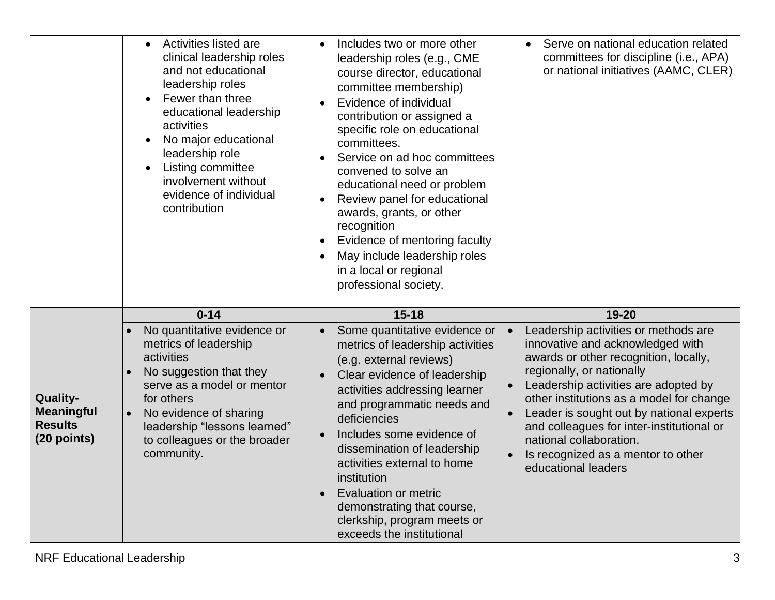|                                                                       | Activities listed are<br>clinical leadership roles<br>and not educational<br>leadership roles<br>Fewer than three<br>educational leadership<br>activities<br>No major educational<br>$\bullet$<br>leadership role<br>Listing committee<br>$\bullet$<br>involvement without<br>evidence of individual<br>contribution | Includes two or more other<br>leadership roles (e.g., CME<br>course director, educational<br>committee membership)<br>Evidence of individual<br>contribution or assigned a<br>specific role on educational<br>committees.<br>Service on ad hoc committees<br>convened to solve an<br>educational need or problem<br>Review panel for educational<br>awards, grants, or other<br>recognition<br>Evidence of mentoring faculty<br>May include leadership roles<br>in a local or regional<br>professional society. | Serve on national education related<br>committees for discipline (i.e., APA)<br>or national initiatives (AAMC, CLER)                                                                                                                                                                                                                                                                                                             |
|-----------------------------------------------------------------------|----------------------------------------------------------------------------------------------------------------------------------------------------------------------------------------------------------------------------------------------------------------------------------------------------------------------|-----------------------------------------------------------------------------------------------------------------------------------------------------------------------------------------------------------------------------------------------------------------------------------------------------------------------------------------------------------------------------------------------------------------------------------------------------------------------------------------------------------------|----------------------------------------------------------------------------------------------------------------------------------------------------------------------------------------------------------------------------------------------------------------------------------------------------------------------------------------------------------------------------------------------------------------------------------|
|                                                                       | $0 - 14$                                                                                                                                                                                                                                                                                                             | $15 - 18$                                                                                                                                                                                                                                                                                                                                                                                                                                                                                                       | 19-20                                                                                                                                                                                                                                                                                                                                                                                                                            |
| <b>Quality-</b><br><b>Meaningful</b><br><b>Results</b><br>(20 points) | No quantitative evidence or<br>metrics of leadership<br>activities<br>No suggestion that they<br>$\bullet$<br>serve as a model or mentor<br>for others<br>No evidence of sharing<br>leadership "lessons learned"<br>to colleagues or the broader<br>community.                                                       | Some quantitative evidence or<br>metrics of leadership activities<br>(e.g. external reviews)<br>Clear evidence of leadership<br>activities addressing learner<br>and programmatic needs and<br>deficiencies<br>Includes some evidence of<br>dissemination of leadership<br>activities external to home<br>institution<br><b>Evaluation or metric</b><br>demonstrating that course,<br>clerkship, program meets or<br>exceeds the institutional                                                                  | Leadership activities or methods are<br>innovative and acknowledged with<br>awards or other recognition, locally,<br>regionally, or nationally<br>Leadership activities are adopted by<br>other institutions as a model for change<br>Leader is sought out by national experts<br>$\bullet$<br>and colleagues for inter-institutional or<br>national collaboration.<br>Is recognized as a mentor to other<br>educational leaders |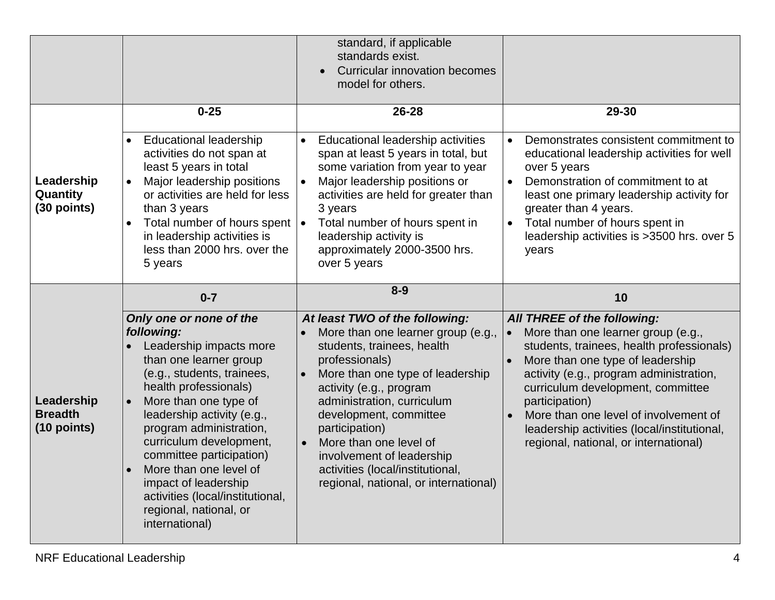|                                               |                                                                                                                                                                                                                                                                                                                                                                                                                                                      | standard, if applicable<br>standards exist.<br><b>Curricular innovation becomes</b><br>model for others.                                                                                                                                                                                                                                                                                                                  |                                                                                                                                                                                                                                                                                                                                                                                                          |
|-----------------------------------------------|------------------------------------------------------------------------------------------------------------------------------------------------------------------------------------------------------------------------------------------------------------------------------------------------------------------------------------------------------------------------------------------------------------------------------------------------------|---------------------------------------------------------------------------------------------------------------------------------------------------------------------------------------------------------------------------------------------------------------------------------------------------------------------------------------------------------------------------------------------------------------------------|----------------------------------------------------------------------------------------------------------------------------------------------------------------------------------------------------------------------------------------------------------------------------------------------------------------------------------------------------------------------------------------------------------|
| Leadership<br>Quantity<br>(30 points)         | $0 - 25$<br><b>Educational leadership</b><br>activities do not span at<br>least 5 years in total<br>Major leadership positions<br>$\bullet$<br>or activities are held for less<br>than 3 years<br>Total number of hours spent $\cdot$<br>$\bullet$<br>in leadership activities is<br>less than 2000 hrs. over the<br>5 years                                                                                                                         | 26-28<br>Educational leadership activities<br>$\bullet$<br>span at least 5 years in total, but<br>some variation from year to year<br>Major leadership positions or<br>$\bullet$<br>activities are held for greater than<br>3 years<br>Total number of hours spent in<br>leadership activity is<br>approximately 2000-3500 hrs.<br>over 5 years                                                                           | 29-30<br>Demonstrates consistent commitment to<br>educational leadership activities for well<br>over 5 years<br>Demonstration of commitment to at<br>$\bullet$<br>least one primary leadership activity for<br>greater than 4 years.<br>Total number of hours spent in<br>leadership activities is >3500 hrs. over 5<br>years                                                                            |
| Leadership<br><b>Breadth</b><br>$(10$ points) | $0 - 7$<br>Only one or none of the<br>following:<br>Leadership impacts more<br>than one learner group<br>(e.g., students, trainees,<br>health professionals)<br>More than one type of<br>leadership activity (e.g.,<br>program administration,<br>curriculum development,<br>committee participation)<br>More than one level of<br>$\bullet$<br>impact of leadership<br>activities (local/institutional,<br>regional, national, or<br>international) | $8 - 9$<br>At least TWO of the following:<br>More than one learner group (e.g.,<br>students, trainees, health<br>professionals)<br>More than one type of leadership<br>activity (e.g., program<br>administration, curriculum<br>development, committee<br>participation)<br>More than one level of<br>$\bullet$<br>involvement of leadership<br>activities (local/institutional,<br>regional, national, or international) | 10<br>All THREE of the following:<br>More than one learner group (e.g.,<br>students, trainees, health professionals)<br>More than one type of leadership<br>$\bullet$<br>activity (e.g., program administration,<br>curriculum development, committee<br>participation)<br>More than one level of involvement of<br>leadership activities (local/institutional,<br>regional, national, or international) |